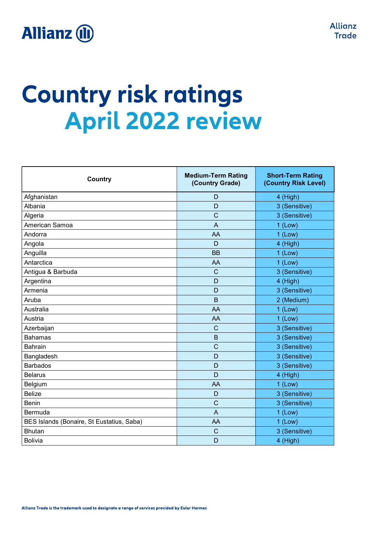

# **Country risk ratings April 2022 review**

| <b>Country</b>                            | <b>Medium-Term Rating</b><br>(Country Grade) | <b>Short-Term Rating</b><br>(Country Risk Level) |
|-------------------------------------------|----------------------------------------------|--------------------------------------------------|
| Afghanistan                               | D                                            | 4 (High)                                         |
| Albania                                   | D                                            | 3 (Sensitive)                                    |
| Algeria                                   | C                                            | 3 (Sensitive)                                    |
| American Samoa                            | $\overline{A}$                               | $1$ (Low)                                        |
| Andorra                                   | AA                                           | $1$ (Low)                                        |
| Angola                                    | D                                            | 4 (High)                                         |
| Anguilla                                  | <b>BB</b>                                    | $1$ (Low)                                        |
| Antarctica                                | AA                                           | $1$ (Low)                                        |
| Antigua & Barbuda                         | $\mathsf C$                                  | 3 (Sensitive)                                    |
| Argentina                                 | D                                            | 4 (High)                                         |
| Armenia                                   | D                                            | 3 (Sensitive)                                    |
| Aruba                                     | $\mathsf B$                                  | 2 (Medium)                                       |
| Australia                                 | AA                                           | $1$ (Low)                                        |
| Austria                                   | AA                                           | $1$ (Low)                                        |
| Azerbaijan                                | C                                            | 3 (Sensitive)                                    |
| <b>Bahamas</b>                            | B                                            | 3 (Sensitive)                                    |
| <b>Bahrain</b>                            | $\mathsf{C}$                                 | 3 (Sensitive)                                    |
| Bangladesh                                | D                                            | 3 (Sensitive)                                    |
| <b>Barbados</b>                           | D                                            | 3 (Sensitive)                                    |
| <b>Belarus</b>                            | D                                            | 4 (High)                                         |
| Belgium                                   | AA                                           | $1$ (Low)                                        |
| <b>Belize</b>                             | D                                            | 3 (Sensitive)                                    |
| <b>Benin</b>                              | $\mathsf{C}$                                 | 3 (Sensitive)                                    |
| Bermuda                                   | $\overline{A}$                               | $1$ (Low)                                        |
| BES Islands (Bonaire, St Eustatius, Saba) | AA                                           | $1$ (Low)                                        |
| <b>Bhutan</b>                             | $\mathsf C$                                  | 3 (Sensitive)                                    |
| <b>Bolivia</b>                            | D                                            | 4 (High)                                         |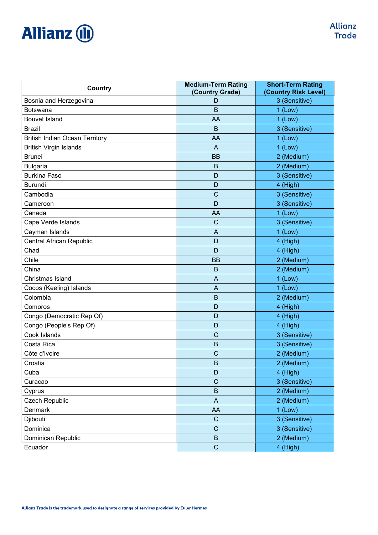| Country                               | <b>Medium-Term Rating</b><br>(Country Grade) | <b>Short-Term Rating</b><br>(Country Risk Level) |
|---------------------------------------|----------------------------------------------|--------------------------------------------------|
| Bosnia and Herzegovina                | D                                            | 3 (Sensitive)                                    |
| Botswana                              | B                                            | $1$ (Low)                                        |
| <b>Bouvet Island</b>                  | AA                                           | $1$ (Low)                                        |
| <b>Brazil</b>                         | B                                            | 3 (Sensitive)                                    |
| <b>British Indian Ocean Territory</b> | AA                                           | $1$ (Low)                                        |
| <b>British Virgin Islands</b>         | A                                            | $1$ (Low)                                        |
| <b>Brunei</b>                         | <b>BB</b>                                    | 2 (Medium)                                       |
| <b>Bulgaria</b>                       | $\mathsf B$                                  | 2 (Medium)                                       |
| <b>Burkina Faso</b>                   | D                                            | 3 (Sensitive)                                    |
| <b>Burundi</b>                        | D                                            | 4 (High)                                         |
| Cambodia                              | $\mathsf{C}$                                 | 3 (Sensitive)                                    |
| Cameroon                              | D                                            | 3 (Sensitive)                                    |
| Canada                                | AA                                           | $1$ (Low)                                        |
| Cape Verde Islands                    | $\mathsf{C}$                                 | 3 (Sensitive)                                    |
| Cayman Islands                        | A                                            | $1$ (Low)                                        |
| <b>Central African Republic</b>       | D                                            | 4 (High)                                         |
| Chad                                  | D                                            | 4 (High)                                         |
| Chile                                 | <b>BB</b>                                    | 2 (Medium)                                       |
| China                                 | B                                            | 2 (Medium)                                       |
| Christmas Island                      | A                                            | $1$ (Low)                                        |
| Cocos (Keeling) Islands               | A                                            | $1$ (Low)                                        |
| Colombia                              | B                                            | 2 (Medium)                                       |
| Comoros                               | D                                            | 4 (High)                                         |
| Congo (Democratic Rep Of)             | D                                            | 4 (High)                                         |
| Congo (People's Rep Of)               | D                                            | 4 (High)                                         |
| Cook Islands                          | $\mathsf{C}$                                 | 3 (Sensitive)                                    |
| Costa Rica                            | B                                            | 3 (Sensitive)                                    |
| Côte d'Ivoire                         | $\mathsf{C}$                                 | 2 (Medium)                                       |
| Croatia                               | $\mathsf B$                                  | 2 (Medium)                                       |
| Cuba                                  | D                                            | 4 (High)                                         |
| Curacao                               | $\mathbf C$                                  | 3 (Sensitive)                                    |
| Cyprus                                | $\overline{B}$                               | 2 (Medium)                                       |
| Czech Republic                        | $\mathsf{A}$                                 | 2 (Medium)                                       |
| Denmark                               | AA                                           | $1$ (Low)                                        |
| Djibouti                              | $\mathsf C$                                  | 3 (Sensitive)                                    |
| Dominica                              | $\mathsf{C}$                                 | 3 (Sensitive)                                    |
| Dominican Republic                    | $\sf B$                                      | 2 (Medium)                                       |
| Ecuador                               | $\mathsf C$                                  | 4 (High)                                         |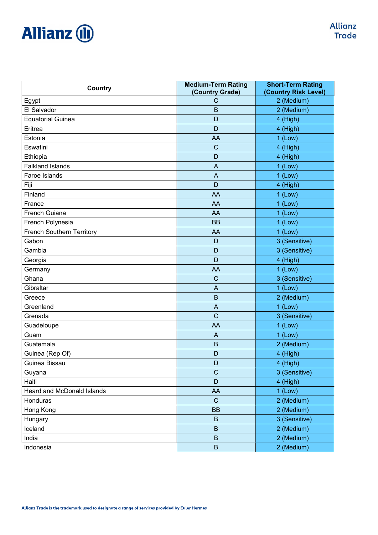| Country                          | <b>Medium-Term Rating</b><br>(Country Grade) | <b>Short-Term Rating</b><br>(Country Risk Level) |
|----------------------------------|----------------------------------------------|--------------------------------------------------|
| Egypt                            | C                                            | 2 (Medium)                                       |
| El Salvador                      | B                                            | 2 (Medium)                                       |
| <b>Equatorial Guinea</b>         | D                                            | 4 (High)                                         |
| Eritrea                          | D                                            | 4 (High)                                         |
| Estonia                          | AA                                           | $1$ (Low)                                        |
| Eswatini                         | $\mathsf{C}$                                 | 4 (High)                                         |
| Ethiopia                         | D                                            | 4 (High)                                         |
| <b>Falkland Islands</b>          | A                                            | $1$ (Low)                                        |
| Faroe Islands                    | $\overline{A}$                               | $1$ (Low)                                        |
| Fiji                             | D                                            | 4 (High)                                         |
| Finland                          | AA                                           | $1$ (Low)                                        |
| France                           | AA                                           | $1$ (Low)                                        |
| French Guiana                    | AA                                           | $1$ (Low)                                        |
| French Polynesia                 | <b>BB</b>                                    | $1$ (Low)                                        |
| <b>French Southern Territory</b> | AA                                           | $1$ (Low)                                        |
| Gabon                            | D                                            | 3 (Sensitive)                                    |
| Gambia                           | D                                            | 3 (Sensitive)                                    |
| Georgia                          | D                                            | 4 (High)                                         |
| Germany                          | AA                                           | $1$ (Low)                                        |
| Ghana                            | $\mathsf{C}$                                 | 3 (Sensitive)                                    |
| Gibraltar                        | A                                            | $1$ (Low)                                        |
| Greece                           | B                                            | 2 (Medium)                                       |
| Greenland                        | A                                            | $1$ (Low)                                        |
| Grenada                          | $\mathsf{C}$                                 | 3 (Sensitive)                                    |
| Guadeloupe                       | AA                                           | $1$ (Low)                                        |
| Guam                             | A                                            | $1$ (Low)                                        |
| Guatemala                        | B                                            | 2 (Medium)                                       |
| Guinea (Rep Of)                  | D                                            | 4 (High)                                         |
| Guinea Bissau                    | D                                            | 4 (High)                                         |
| Guyana                           | $\mathsf{C}$                                 | 3 (Sensitive)                                    |
| Haiti                            | D                                            | 4 (High)                                         |
| Heard and McDonald Islands       | AA                                           | $1$ (Low)                                        |
| Honduras                         | $\mathsf C$                                  | 2 (Medium)                                       |
| Hong Kong                        | <b>BB</b>                                    | 2 (Medium)                                       |
| Hungary                          | $\sf B$                                      | 3 (Sensitive)                                    |
| Iceland                          | $\mathsf B$                                  | 2 (Medium)                                       |
| India                            | $\sf B$                                      | 2 (Medium)                                       |
| Indonesia                        | $\sf B$                                      | 2 (Medium)                                       |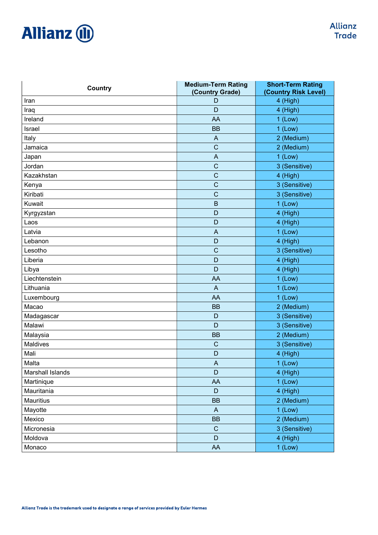| <b>Country</b>   | <b>Medium-Term Rating</b><br>(Country Grade) | <b>Short-Term Rating</b><br>(Country Risk Level) |
|------------------|----------------------------------------------|--------------------------------------------------|
| Iran             | D                                            | 4 (High)                                         |
| Iraq             | D                                            | 4 (High)                                         |
| Ireland          | AA                                           | $1$ (Low)                                        |
| Israel           | <b>BB</b>                                    | $1$ (Low)                                        |
| Italy            | A                                            | 2 (Medium)                                       |
| Jamaica          | $\mathsf{C}$                                 | 2 (Medium)                                       |
| Japan            | $\boldsymbol{\mathsf{A}}$                    | $1$ (Low)                                        |
| Jordan           | $\mathsf{C}$                                 | 3 (Sensitive)                                    |
| Kazakhstan       | $\mathbf C$                                  | 4 (High)                                         |
| Kenya            | $\mathsf{C}$                                 | 3 (Sensitive)                                    |
| Kiribati         | $\mathsf{C}$                                 | 3 (Sensitive)                                    |
| Kuwait           | $\mathsf B$                                  | $1$ (Low)                                        |
| Kyrgyzstan       | D                                            | 4 (High)                                         |
| Laos             | D                                            | 4 (High)                                         |
| Latvia           | $\overline{A}$                               | $1$ (Low)                                        |
| Lebanon          | D                                            | 4 (High)                                         |
| Lesotho          | $\mathsf{C}$                                 | 3 (Sensitive)                                    |
| Liberia          | D                                            | 4 (High)                                         |
| Libya            | D                                            | 4 (High)                                         |
| Liechtenstein    | AA                                           | $1$ (Low)                                        |
| Lithuania        | $\overline{A}$                               | $1$ (Low)                                        |
| Luxembourg       | AA                                           | $1$ (Low)                                        |
| Macao            | <b>BB</b>                                    | 2 (Medium)                                       |
| Madagascar       | D                                            | 3 (Sensitive)                                    |
| Malawi           | D                                            | 3 (Sensitive)                                    |
| Malaysia         | <b>BB</b>                                    | 2 (Medium)                                       |
| Maldives         | $\mathsf{C}$                                 | 3 (Sensitive)                                    |
| Mali             | D                                            | 4 (High)                                         |
| Malta            | A                                            | $1$ (Low)                                        |
| Marshall Islands | D                                            | 4 (High)                                         |
| Martinique       | AA                                           | $1$ (Low)                                        |
| Mauritania       | $\mathsf D$                                  | 4 (High)                                         |
| Mauritius        | <b>BB</b>                                    | 2 (Medium)                                       |
| Mayotte          | $\mathsf{A}$                                 | $1$ (Low)                                        |
| Mexico           | <b>BB</b>                                    | 2 (Medium)                                       |
| Micronesia       | $\mathbf C$                                  | 3 (Sensitive)                                    |
| Moldova          | D                                            | 4 (High)                                         |
| Monaco           | AA                                           | $1$ (Low)                                        |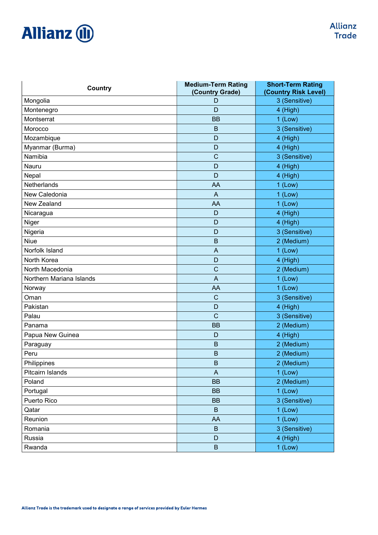| Country                  | <b>Medium-Term Rating</b><br>(Country Grade) | <b>Short-Term Rating</b><br>(Country Risk Level) |
|--------------------------|----------------------------------------------|--------------------------------------------------|
| Mongolia                 | D                                            | 3 (Sensitive)                                    |
| Montenegro               | D                                            | 4 (High)                                         |
| Montserrat               | <b>BB</b>                                    | $1$ (Low)                                        |
| Morocco                  | $\mathsf B$                                  | 3 (Sensitive)                                    |
| Mozambique               | D                                            | 4 (High)                                         |
| Myanmar (Burma)          | D                                            | 4 (High)                                         |
| Namibia                  | $\mathsf{C}$                                 | 3 (Sensitive)                                    |
| Nauru                    | D                                            | 4 (High)                                         |
| Nepal                    | D                                            | 4 (High)                                         |
| Netherlands              | AA                                           | $1$ (Low)                                        |
| New Caledonia            | $\overline{A}$                               | $1$ (Low)                                        |
| New Zealand              | AA                                           | $1$ (Low)                                        |
| Nicaragua                | D                                            | 4 (High)                                         |
| Niger                    | D                                            | 4 (High)                                         |
| Nigeria                  | D                                            | 3 (Sensitive)                                    |
| Niue                     | $\mathsf B$                                  | 2 (Medium)                                       |
| Norfolk Island           | A                                            | $1$ (Low)                                        |
| North Korea              | D                                            | 4 (High)                                         |
| North Macedonia          | $\mathsf{C}$                                 | 2 (Medium)                                       |
| Northern Mariana Islands | $\overline{A}$                               | $1$ (Low)                                        |
| Norway                   | AA                                           | $1$ (Low)                                        |
| Oman                     | $\mathsf{C}$                                 | 3 (Sensitive)                                    |
| Pakistan                 | D                                            | 4 (High)                                         |
| Palau                    | $\mathsf{C}$                                 | 3 (Sensitive)                                    |
| Panama                   | <b>BB</b>                                    | 2 (Medium)                                       |
| Papua New Guinea         | D                                            | 4 (High)                                         |
| Paraguay                 | B                                            | 2 (Medium)                                       |
| Peru                     | B                                            | 2 (Medium)                                       |
| Philippines              | B                                            | 2 (Medium)                                       |
| Pitcairn Islands         | $\mathsf{A}$                                 | $1$ (Low)                                        |
| Poland                   | <b>BB</b>                                    | 2 (Medium)                                       |
| Portugal                 | <b>BB</b>                                    | $1$ (Low)                                        |
| Puerto Rico              | <b>BB</b>                                    | 3 (Sensitive)                                    |
| Qatar                    | $\mathsf B$                                  | $1$ (Low)                                        |
| Reunion                  | AA                                           | $1$ (Low)                                        |
| Romania                  | B                                            | 3 (Sensitive)                                    |
| Russia                   | $\mathsf D$                                  | 4 (High)                                         |
| Rwanda                   | $\sf B$                                      | 1 (Low)                                          |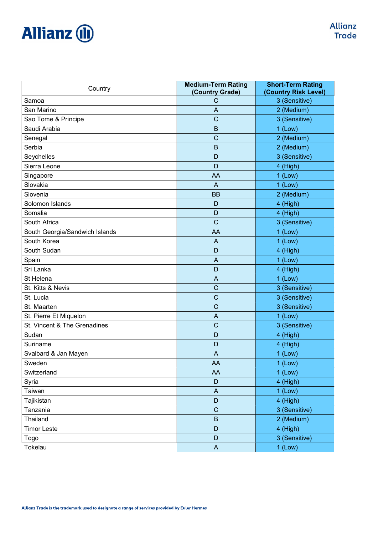| Country                        | <b>Medium-Term Rating</b><br>(Country Grade) | <b>Short-Term Rating</b><br>(Country Risk Level) |
|--------------------------------|----------------------------------------------|--------------------------------------------------|
| Samoa                          | C                                            | 3 (Sensitive)                                    |
| San Marino                     | A                                            | 2 (Medium)                                       |
| Sao Tome & Principe            | $\mathbf C$                                  | 3 (Sensitive)                                    |
| Saudi Arabia                   | $\mathsf B$                                  | $1$ (Low)                                        |
| Senegal                        | $\mathsf{C}$                                 | 2 (Medium)                                       |
| Serbia                         | B                                            | 2 (Medium)                                       |
| Seychelles                     | D                                            | 3 (Sensitive)                                    |
| Sierra Leone                   | D                                            | 4 (High)                                         |
| Singapore                      | AA                                           | $1$ (Low)                                        |
| Slovakia                       | A                                            | $1$ (Low)                                        |
| Slovenia                       | <b>BB</b>                                    | 2 (Medium)                                       |
| Solomon Islands                | D                                            | 4 (High)                                         |
| Somalia                        | D                                            | 4 (High)                                         |
| South Africa                   | $\mathsf{C}$                                 | 3 (Sensitive)                                    |
| South Georgia/Sandwich Islands | AA                                           | $1$ (Low)                                        |
| South Korea                    | A                                            | $1$ (Low)                                        |
| South Sudan                    | D                                            | 4 (High)                                         |
| Spain                          | A                                            | $1$ (Low)                                        |
| Sri Lanka                      | D                                            | 4 (High)                                         |
| St Helena                      | A                                            | $1$ (Low)                                        |
| St. Kitts & Nevis              | $\mathsf{C}$                                 | 3 (Sensitive)                                    |
| St. Lucia                      | $\mathsf{C}$                                 | 3 (Sensitive)                                    |
| St. Maarten                    | $\mathsf{C}$                                 | 3 (Sensitive)                                    |
| St. Pierre Et Miquelon         | A                                            | $1$ (Low)                                        |
| St. Vincent & The Grenadines   | $\mathsf{C}$                                 | 3 (Sensitive)                                    |
| Sudan                          | D                                            | 4 (High)                                         |
| Suriname                       | D                                            | 4 (High)                                         |
| Svalbard & Jan Mayen           | A                                            | $1$ (Low)                                        |
| Sweden                         | AA                                           | 1 (Low)                                          |
| Switzerland                    | AA                                           | $1$ (Low)                                        |
| Syria                          | $\mathsf D$                                  | 4 (High)                                         |
| Taiwan                         | $\mathsf{A}$                                 | $1$ (Low)                                        |
| Tajikistan                     | $\mathsf D$                                  | $4$ (High)                                       |
| Tanzania                       | $\mathbf C$                                  | 3 (Sensitive)                                    |
| Thailand                       | $\sf B$                                      | 2 (Medium)                                       |
| <b>Timor Leste</b>             | $\mathsf D$                                  | 4 (High)                                         |
| Togo                           | $\mathsf D$                                  | 3 (Sensitive)                                    |
| Tokelau                        | $\mathsf{A}$                                 | $1$ (Low)                                        |